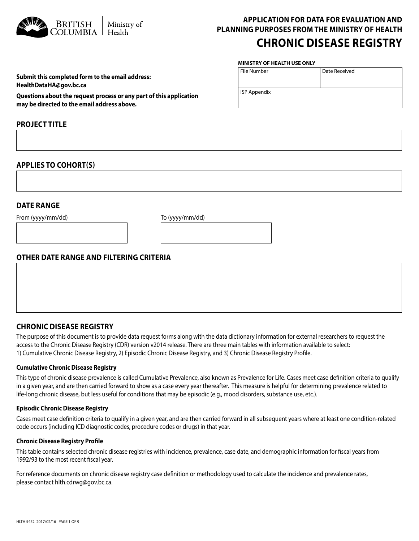

# **APPLICATION FOR DATA FOR EVALUATION AND PLANNING PURPOSES FROM THE MINISTRY OF HEALTH CHRONIC DISEASE REGISTRY**

Date Received

#### **MINISTRY OF HEALTH USE ONLY**

File Number

ISP Appendix

| Submit this completed form to the email address: |  |
|--------------------------------------------------|--|
| HealthDataHA@gov.bc.ca                           |  |

**Questions about the request process or any part of this application may be directed to the email address above.**

### **PROJECT TITLE**

### **APPLIES TO COHORT(S)**

### **DATE RANGE**

From (yyyy/mm/dd) To (yyyy/mm/dd)

### **OTHER DATE RANGE AND FILTERING CRITERIA**

## **CHRONIC DISEASE REGISTRY**

The purpose of this document is to provide data request forms along with the data dictionary information for external researchers to request the access to the Chronic Disease Registry (CDR) version v2014 release. There are three main tables with information available to select: 1) Cumulative Chronic Disease Registry, 2) Episodic Chronic Disease Registry, and 3) Chronic Disease Registry Profile.

### **Cumulative Chronic Disease Registry**

This type of chronic disease prevalence is called Cumulative Prevalence, also known as Prevalence for Life. Cases meet case definition criteria to qualify in a given year, and are then carried forward to show as a case every year thereafter. This measure is helpful for determining prevalence related to life-long chronic disease, but less useful for conditions that may be episodic (e.g., mood disorders, substance use, etc.).

#### **Episodic Chronic Disease Registry**

Cases meet case definition criteria to qualify in a given year, and are then carried forward in all subsequent years where at least one condition-related code occurs (including ICD diagnostic codes, procedure codes or drugs) in that year.

### **Chronic Disease Registry Profile**

This table contains selected chronic disease registries with incidence, prevalence, case date, and demographic information for fiscal years from 1992/93 to the most recent fiscal year.

For reference documents on chronic disease registry case definition or methodology used to calculate the incidence and prevalence rates, please contact hlth.cdrwg@gov.bc.ca.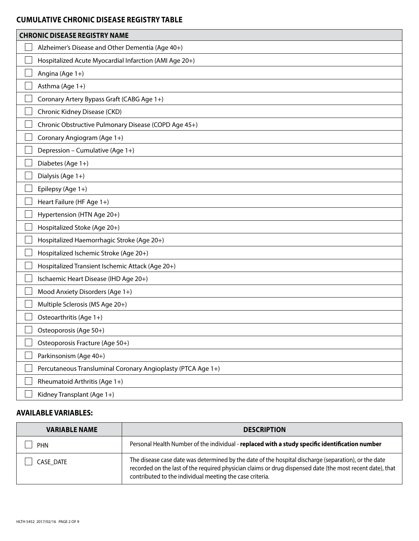# **CUMULATIVE CHRONIC DISEASE REGISTRY TABLE**

| <b>CHRONIC DISEASE REGISTRY NAME</b>                         |
|--------------------------------------------------------------|
| Alzheimer's Disease and Other Dementia (Age 40+)             |
| Hospitalized Acute Myocardial Infarction (AMI Age 20+)       |
| Angina (Age 1+)                                              |
| Asthma (Age 1+)                                              |
| Coronary Artery Bypass Graft (CABG Age 1+)                   |
| Chronic Kidney Disease (CKD)                                 |
| Chronic Obstructive Pulmonary Disease (COPD Age 45+)         |
| Coronary Angiogram (Age 1+)                                  |
| Depression - Cumulative (Age 1+)                             |
| Diabetes (Age 1+)                                            |
| Dialysis (Age 1+)                                            |
| Epilepsy (Age 1+)                                            |
| Heart Failure (HF Age 1+)                                    |
| Hypertension (HTN Age 20+)                                   |
| Hospitalized Stoke (Age 20+)                                 |
| Hospitalized Haemorrhagic Stroke (Age 20+)                   |
| Hospitalized Ischemic Stroke (Age 20+)                       |
| Hospitalized Transient Ischemic Attack (Age 20+)             |
| Ischaemic Heart Disease (IHD Age 20+)                        |
| Mood Anxiety Disorders (Age 1+)                              |
| Multiple Sclerosis (MS Age 20+)                              |
| Osteoarthritis (Age 1+)                                      |
| Osteoporosis (Age 50+)                                       |
| Osteoporosis Fracture (Age 50+)                              |
| Parkinsonism (Age 40+)                                       |
| Percutaneous Transluminal Coronary Angioplasty (PTCA Age 1+) |
| Rheumatoid Arthritis (Age 1+)                                |
| Kidney Transplant (Age 1+)                                   |

# **AVAILABLE VARIABLES:**

| <b>VARIABLE NAME</b> | <b>DESCRIPTION</b>                                                                                                                                                                                                                                                            |
|----------------------|-------------------------------------------------------------------------------------------------------------------------------------------------------------------------------------------------------------------------------------------------------------------------------|
| <b>PHN</b>           | Personal Health Number of the individual - replaced with a study specific identification number                                                                                                                                                                               |
| CASE DATE            | The disease case date was determined by the date of the hospital discharge (separation), or the date<br>recorded on the last of the required physician claims or drug dispensed date (the most recent date), that<br>contributed to the individual meeting the case criteria. |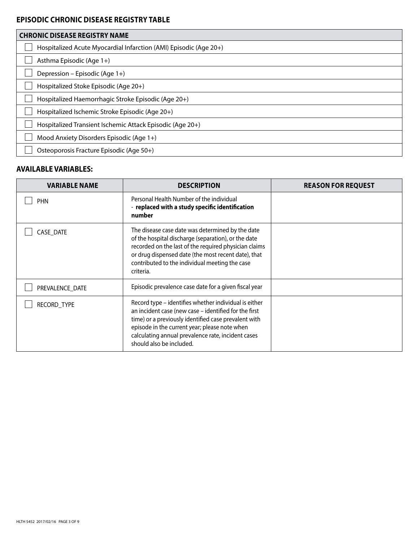## **EPISODIC CHRONIC DISEASE REGISTRY TABLE**

| <b>CHRONIC DISEASE REGISTRY NAME</b>                              |
|-------------------------------------------------------------------|
| Hospitalized Acute Myocardial Infarction (AMI) Episodic (Age 20+) |
| Asthma Episodic (Age 1+)                                          |
| Depression - Episodic (Age 1+)                                    |
| Hospitalized Stoke Episodic (Age 20+)                             |
| Hospitalized Haemorrhagic Stroke Episodic (Age 20+)               |
| Hospitalized Ischemic Stroke Episodic (Age 20+)                   |
| Hospitalized Transient Ischemic Attack Episodic (Age 20+)         |
| Mood Anxiety Disorders Episodic (Age 1+)                          |
| Osteoporosis Fracture Episodic (Age 50+)                          |

# **AVAILABLE VARIABLES:**

| <b>VARIABLE NAME</b> | <b>DESCRIPTION</b>                                                                                                                                                                                                                                                                                        | <b>REASON FOR REQUEST</b> |
|----------------------|-----------------------------------------------------------------------------------------------------------------------------------------------------------------------------------------------------------------------------------------------------------------------------------------------------------|---------------------------|
| <b>PHN</b>           | Personal Health Number of the individual<br>- replaced with a study specific identification<br>number                                                                                                                                                                                                     |                           |
| CASE DATE            | The disease case date was determined by the date<br>of the hospital discharge (separation), or the date<br>recorded on the last of the required physician claims<br>or drug dispensed date (the most recent date), that<br>contributed to the individual meeting the case<br>criteria.                    |                           |
| PREVALENCE_DATE      | Episodic prevalence case date for a given fiscal year                                                                                                                                                                                                                                                     |                           |
| RECORD TYPE          | Record type - identifies whether individual is either<br>an incident case (new case - identified for the first<br>time) or a previously identified case prevalent with<br>episode in the current year; please note when<br>calculating annual prevalence rate, incident cases<br>should also be included. |                           |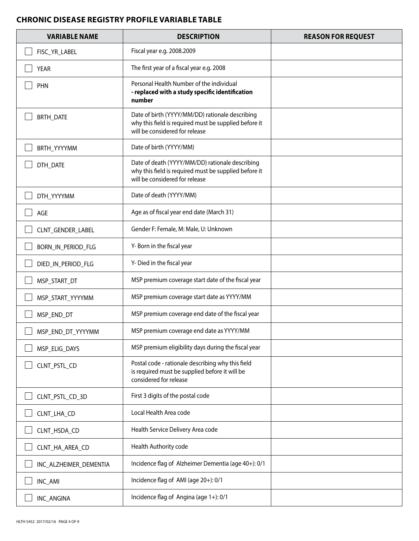## **CHRONIC DISEASE REGISTRY PROFILE VARIABLE TABLE**

| <b>VARIABLE NAME</b>   | <b>DESCRIPTION</b>                                                                                                                         | <b>REASON FOR REQUEST</b> |
|------------------------|--------------------------------------------------------------------------------------------------------------------------------------------|---------------------------|
| FISC_YR_LABEL          | Fiscal year e.g. 2008.2009                                                                                                                 |                           |
| <b>YEAR</b>            | The first year of a fiscal year e.g. 2008                                                                                                  |                           |
| PHN                    | Personal Health Number of the individual<br>- replaced with a study specific identification<br>number                                      |                           |
| <b>BRTH_DATE</b>       | Date of birth (YYYY/MM/DD) rationale describing<br>why this field is required must be supplied before it<br>will be considered for release |                           |
| BRTH_YYYYMM            | Date of birth (YYYY/MM)                                                                                                                    |                           |
| DTH_DATE               | Date of death (YYYY/MM/DD) rationale describing<br>why this field is required must be supplied before it<br>will be considered for release |                           |
| DTH_YYYYMM             | Date of death (YYYY/MM)                                                                                                                    |                           |
| AGE                    | Age as of fiscal year end date (March 31)                                                                                                  |                           |
| CLNT_GENDER_LABEL      | Gender F: Female, M: Male, U: Unknown                                                                                                      |                           |
| BORN_IN_PERIOD_FLG     | Y-Born in the fiscal year                                                                                                                  |                           |
| DIED_IN_PERIOD_FLG     | Y- Died in the fiscal year                                                                                                                 |                           |
| MSP_START_DT           | MSP premium coverage start date of the fiscal year                                                                                         |                           |
| MSP_START_YYYYMM       | MSP premium coverage start date as YYYY/MM                                                                                                 |                           |
| MSP_END_DT             | MSP premium coverage end date of the fiscal year                                                                                           |                           |
| MSP_END_DT_YYYYMM      | MSP premium coverage end date as YYYY/MM                                                                                                   |                           |
| MSP_ELIG_DAYS          | MSP premium eligibility days during the fiscal year                                                                                        |                           |
| CLNT_PSTL_CD           | Postal code - rationale describing why this field<br>is required must be supplied before it will be<br>considered for release              |                           |
| CLNT_PSTL_CD_3D        | First 3 digits of the postal code                                                                                                          |                           |
| CLNT_LHA_CD            | Local Health Area code                                                                                                                     |                           |
| CLNT_HSDA_CD           | Health Service Delivery Area code                                                                                                          |                           |
| CLNT_HA_AREA_CD        | Health Authority code                                                                                                                      |                           |
| INC_ALZHEIMER_DEMENTIA | Incidence flag of Alzheimer Dementia (age 40+): 0/1                                                                                        |                           |
| INC_AMI                | Incidence flag of AMI (age 20+): 0/1                                                                                                       |                           |
| INC_ANGINA             | Incidence flag of Angina (age 1+): 0/1                                                                                                     |                           |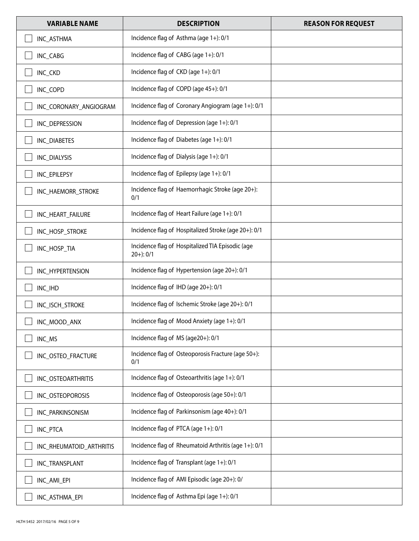| <b>VARIABLE NAME</b>     | <b>DESCRIPTION</b>                                                 | <b>REASON FOR REQUEST</b> |
|--------------------------|--------------------------------------------------------------------|---------------------------|
| INC_ASTHMA               | Incidence flag of Asthma (age 1+): 0/1                             |                           |
| INC_CABG                 | Incidence flag of CABG (age 1+): 0/1                               |                           |
| INC_CKD                  | Incidence flag of CKD (age 1+): 0/1                                |                           |
| INC_COPD                 | Incidence flag of COPD (age 45+): 0/1                              |                           |
| INC_CORONARY_ANGIOGRAM   | Incidence flag of Coronary Angiogram (age 1+): 0/1                 |                           |
| INC_DEPRESSION           | Incidence flag of Depression (age 1+): 0/1                         |                           |
| INC_DIABETES             | Incidence flag of Diabetes (age 1+): 0/1                           |                           |
| INC_DIALYSIS             | Incidence flag of Dialysis (age 1+): 0/1                           |                           |
| INC_EPILEPSY             | Incidence flag of Epilepsy (age 1+): 0/1                           |                           |
| INC_HAEMORR_STROKE       | Incidence flag of Haemorrhagic Stroke (age 20+):<br>0/1            |                           |
| INC_HEART_FAILURE        | Incidence flag of Heart Failure (age 1+): 0/1                      |                           |
| INC_HOSP_STROKE          | Incidence flag of Hospitalized Stroke (age 20+): 0/1               |                           |
| INC_HOSP_TIA             | Incidence flag of Hospitalized TIA Episodic (age<br>$20+)$ : $0/1$ |                           |
| INC_HYPERTENSION         | Incidence flag of Hypertension (age 20+): 0/1                      |                           |
| INC_IHD                  | Incidence flag of IHD (age 20+): 0/1                               |                           |
| INC_ISCH_STROKE          | Incidence flag of Ischemic Stroke (age 20+): 0/1                   |                           |
| INC_MOOD_ANX             | Incidence flag of Mood Anxiety (age 1+): 0/1                       |                           |
| INC_MS                   | Incidence flag of MS (age20+): 0/1                                 |                           |
| INC_OSTEO_FRACTURE       | Incidence flag of Osteoporosis Fracture (age 50+):<br>0/1          |                           |
| INC_OSTEOARTHRITIS       | Incidence flag of Osteoarthritis (age 1+): 0/1                     |                           |
| INC_OSTEOPOROSIS         | Incidence flag of Osteoporosis (age 50+): 0/1                      |                           |
| INC_PARKINSONISM         | Incidence flag of Parkinsonism (age 40+): 0/1                      |                           |
| INC_PTCA                 | Incidence flag of PTCA (age 1+): 0/1                               |                           |
| INC_RHEUMATOID_ARTHRITIS | Incidence flag of Rheumatoid Arthritis (age 1+): 0/1               |                           |
| INC_TRANSPLANT           | Incidence flag of Transplant (age 1+): 0/1                         |                           |
| INC_AMI_EPI              | Incidence flag of AMI Episodic (age 20+): 0/                       |                           |
| INC_ASTHMA_EPI           | Incidence flag of Asthma Epi (age 1+): 0/1                         |                           |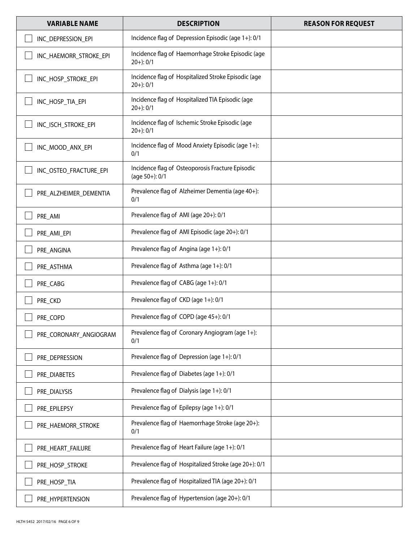| <b>VARIABLE NAME</b>   | <b>DESCRIPTION</b>                                                 | <b>REASON FOR REQUEST</b> |
|------------------------|--------------------------------------------------------------------|---------------------------|
| INC DEPRESSION EPI     | Incidence flag of Depression Episodic (age 1+): 0/1                |                           |
| INC_HAEMORR_STROKE_EPI | Incidence flag of Haemorrhage Stroke Episodic (age<br>$20+$ : 0/1  |                           |
| INC_HOSP_STROKE_EPI    | Incidence flag of Hospitalized Stroke Episodic (age<br>$20+$ : 0/1 |                           |
| INC_HOSP_TIA_EPI       | Incidence flag of Hospitalized TIA Episodic (age<br>$20+$ : 0/1    |                           |
| INC_ISCH_STROKE_EPI    | Incidence flag of Ischemic Stroke Episodic (age<br>$20+$ : 0/1     |                           |
| INC_MOOD_ANX_EPI       | Incidence flag of Mood Anxiety Episodic (age 1+):<br>0/1           |                           |
| INC_OSTEO_FRACTURE_EPI | Incidence flag of Osteoporosis Fracture Episodic<br>(age 50+): 0/1 |                           |
| PRE_ALZHEIMER_DEMENTIA | Prevalence flag of Alzheimer Dementia (age 40+):<br>0/1            |                           |
| PRE_AMI                | Prevalence flag of AMI (age 20+): 0/1                              |                           |
| PRE_AMI_EPI            | Prevalence flag of AMI Episodic (age 20+): 0/1                     |                           |
| PRE_ANGINA             | Prevalence flag of Angina (age 1+): 0/1                            |                           |
| PRE_ASTHMA             | Prevalence flag of Asthma (age 1+): 0/1                            |                           |
| PRE_CABG               | Prevalence flag of CABG (age 1+): 0/1                              |                           |
| PRE_CKD                | Prevalence flag of CKD (age 1+): 0/1                               |                           |
| PRE COPD               | Prevalence flag of COPD (age 45+): 0/1                             |                           |
| PRE_CORONARY_ANGIOGRAM | Prevalence flag of Coronary Angiogram (age 1+):<br>0/1             |                           |
| PRE_DEPRESSION         | Prevalence flag of Depression (age 1+): 0/1                        |                           |
| PRE_DIABETES           | Prevalence flag of Diabetes (age 1+): 0/1                          |                           |
| PRE_DIALYSIS           | Prevalence flag of Dialysis (age 1+): 0/1                          |                           |
| PRE EPILEPSY           | Prevalence flag of Epilepsy (age 1+): 0/1                          |                           |
| PRE_HAEMORR_STROKE     | Prevalence flag of Haemorrhage Stroke (age 20+):<br>0/1            |                           |
| PRE_HEART_FAILURE      | Prevalence flag of Heart Failure (age 1+): 0/1                     |                           |
| PRE_HOSP_STROKE        | Prevalence flag of Hospitalized Stroke (age 20+): 0/1              |                           |
| PRE_HOSP_TIA           | Prevalence flag of Hospitalized TIA (age 20+): 0/1                 |                           |
| PRE_HYPERTENSION       | Prevalence flag of Hypertension (age 20+): 0/1                     |                           |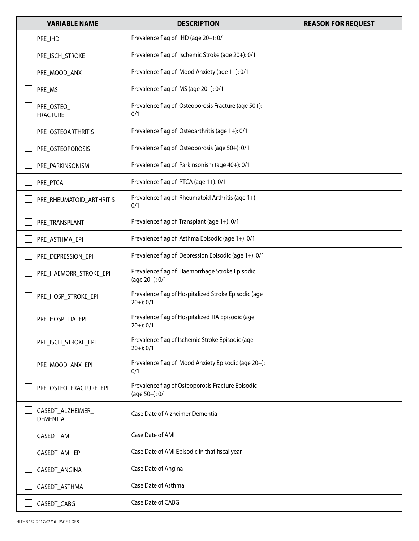| <b>VARIABLE NAME</b>                 | <b>DESCRIPTION</b>                                                     | <b>REASON FOR REQUEST</b> |
|--------------------------------------|------------------------------------------------------------------------|---------------------------|
| PRE_IHD                              | Prevalence flag of IHD (age 20+): 0/1                                  |                           |
| PRE_ISCH_STROKE                      | Prevalence flag of Ischemic Stroke (age 20+): 0/1                      |                           |
| PRE_MOOD_ANX                         | Prevalence flag of Mood Anxiety (age 1+): 0/1                          |                           |
| PRE_MS                               | Prevalence flag of MS (age 20+): 0/1                                   |                           |
| PRE_OSTEO_<br><b>FRACTURE</b>        | Prevalence flag of Osteoporosis Fracture (age 50+):<br>0/1             |                           |
| PRE_OSTEOARTHRITIS                   | Prevalence flag of Osteoarthritis (age 1+): 0/1                        |                           |
| PRE_OSTEOPOROSIS                     | Prevalence flag of Osteoporosis (age 50+): 0/1                         |                           |
| PRE_PARKINSONISM                     | Prevalence flag of Parkinsonism (age 40+): 0/1                         |                           |
| PRE_PTCA                             | Prevalence flag of PTCA (age 1+): 0/1                                  |                           |
| PRE_RHEUMATOID_ARTHRITIS             | Prevalence flag of Rheumatoid Arthritis (age 1+):<br>0/1               |                           |
| PRE_TRANSPLANT                       | Prevalence flag of Transplant (age 1+): 0/1                            |                           |
| PRE_ASTHMA_EPI                       | Prevalence flag of Asthma Episodic (age 1+): 0/1                       |                           |
| PRE_DEPRESSION_EPI                   | Prevalence flag of Depression Episodic (age 1+): 0/1                   |                           |
| PRE_HAEMORR_STROKE_EPI               | Prevalence flag of Haemorrhage Stroke Episodic<br>(age 20+): 0/1       |                           |
| PRE_HOSP_STROKE_EPI                  | Prevalence flag of Hospitalized Stroke Episodic (age<br>$20+)$ : $0/1$ |                           |
| PRE HOSP TIA EPI                     | Prevalence flag of Hospitalized TIA Episodic (age<br>$20+$ : 0/1       |                           |
| PRE_ISCH_STROKE_EPI                  | Prevalence flag of Ischemic Stroke Episodic (age<br>$20+)$ : $0/1$     |                           |
| PRE_MOOD_ANX_EPI                     | Prevalence flag of Mood Anxiety Episodic (age 20+):<br>0/1             |                           |
| PRE_OSTEO_FRACTURE_EPI               | Prevalence flag of Osteoporosis Fracture Episodic<br>(age 50+): 0/1    |                           |
| CASEDT_ALZHEIMER_<br><b>DEMENTIA</b> | Case Date of Alzheimer Dementia                                        |                           |
| CASEDT_AMI                           | Case Date of AMI                                                       |                           |
| CASEDT_AMI_EPI                       | Case Date of AMI Episodic in that fiscal year                          |                           |
| CASEDT_ANGINA                        | Case Date of Angina                                                    |                           |
| CASEDT_ASTHMA                        | Case Date of Asthma                                                    |                           |
| CASEDT_CABG                          | Case Date of CABG                                                      |                           |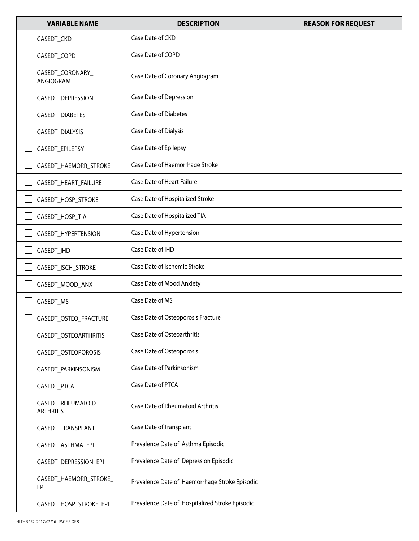| <b>VARIABLE NAME</b>                   | <b>DESCRIPTION</b>                              | <b>REASON FOR REQUEST</b> |
|----------------------------------------|-------------------------------------------------|---------------------------|
| CASEDT_CKD                             | Case Date of CKD                                |                           |
| CASEDT_COPD                            | Case Date of COPD                               |                           |
| CASEDT_CORONARY_<br>ANGIOGRAM          | Case Date of Coronary Angiogram                 |                           |
| CASEDT_DEPRESSION                      | Case Date of Depression                         |                           |
| CASEDT_DIABETES                        | <b>Case Date of Diabetes</b>                    |                           |
| CASEDT_DIALYSIS                        | Case Date of Dialysis                           |                           |
| CASEDT_EPILEPSY                        | Case Date of Epilepsy                           |                           |
| CASEDT_HAEMORR_STROKE                  | Case Date of Haemorrhage Stroke                 |                           |
| CASEDT_HEART_FAILURE                   | <b>Case Date of Heart Failure</b>               |                           |
| CASEDT_HOSP_STROKE                     | Case Date of Hospitalized Stroke                |                           |
| CASEDT_HOSP_TIA                        | Case Date of Hospitalized TIA                   |                           |
| CASEDT_HYPERTENSION                    | Case Date of Hypertension                       |                           |
| CASEDT_IHD                             | Case Date of IHD                                |                           |
| CASEDT_ISCH_STROKE                     | Case Date of Ischemic Stroke                    |                           |
| CASEDT_MOOD_ANX                        | Case Date of Mood Anxiety                       |                           |
| CASEDT_MS                              | Case Date of MS                                 |                           |
| CASEDT_OSTEO_FRACTURE                  | Case Date of Osteoporosis Fracture              |                           |
| CASEDT_OSTEOARTHRITIS                  | Case Date of Osteoarthritis                     |                           |
| CASEDT_OSTEOPOROSIS                    | Case Date of Osteoporosis                       |                           |
| CASEDT_PARKINSONISM                    | Case Date of Parkinsonism                       |                           |
| CASEDT_PTCA                            | Case Date of PTCA                               |                           |
| CASEDT_RHEUMATOID_<br><b>ARTHRITIS</b> | Case Date of Rheumatoid Arthritis               |                           |
| CASEDT_TRANSPLANT                      | Case Date of Transplant                         |                           |
| CASEDT_ASTHMA_EPI                      | Prevalence Date of Asthma Episodic              |                           |
| CASEDT_DEPRESSION_EPI                  | Prevalence Date of Depression Episodic          |                           |
| CASEDT_HAEMORR_STROKE_<br>EPI          | Prevalence Date of Haemorrhage Stroke Episodic  |                           |
| CASEDT_HOSP_STROKE_EPI                 | Prevalence Date of Hospitalized Stroke Episodic |                           |